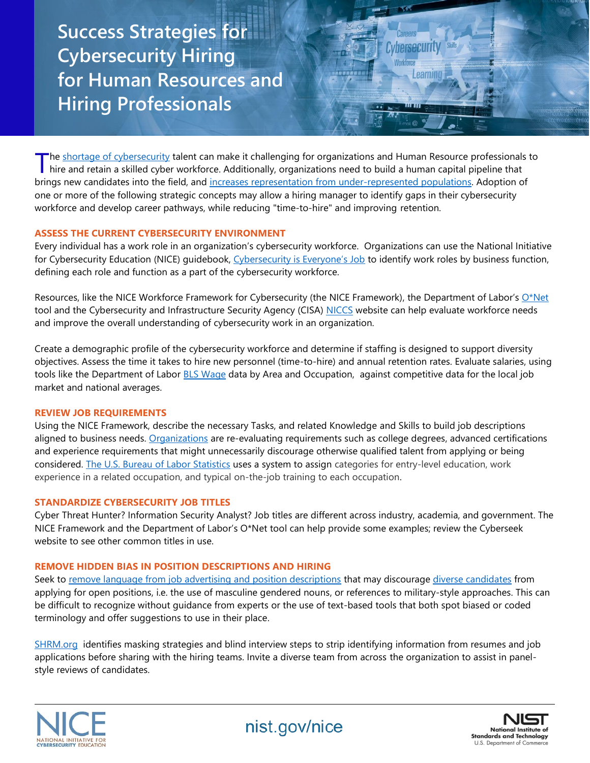**Success Strategies for Cybersecurity Hiring for Human Resources and Hiring Professionals**

The [shortage of cybersecurity](https://www.cyberseek.org/) talent can make it challenging for organizations and Human Resource professionals to The shortage of cybersecurity talent can make it challenging for organizations and Human Resource professionals<br>hire and retain a skilled cyber workforce. Additionally, organizations need to build a human capital pipeline brings new candidates into the field, and [increases representation from under-represented populations.](https://www.isc2.org/Research/Cybersecurity-Diversity) Adoption of one or more of the following strategic concepts may allow a hiring manager to identify gaps in their cybersecurity workforce and develop career pathways, while reducing "time-to-hire" and improving retention.

**Cybersecurity** 

earning

## **ASSESS THE CURRENT CYBERSECURITY ENVIRONMENT**

Every individual has a work role in an organization's cybersecurity workforce. Organizations can use the National Initiative for Cybersecurity Education (NICE) quidebook, [Cybersecurity is Everyone's Job](https://www.nist.gov/itl/applied-cybersecurity/nice/workforce-management-guidebook) to identify work roles by business function, defining each role and function as a part of the cybersecurity workforce.

Resources, like the NICE Workforce Framework for Cybersecurity (the NICE Framework), the Department of Labor's  $Q^*$ Net tool and the Cybersecurity and Infrastructure Security Agency (CISA) [NICCS](https://niccs.us-cert.gov/workforce-development/cyber-security-workforce-framework) website can help evaluate workforce needs and improve the overall understanding of cybersecurity work in an organization.

Create a demographic profile of the cybersecurity workforce and determine if staffing is designed to support diversity objectives. Assess the time it takes to hire new personnel (time-to-hire) and annual retention rates. Evaluate salaries, using tools like the Department of Labor [BLS Wage](https://www.bls.gov/bls/blswage.htm) data by Area and Occupation, against competitive data for the local job market and national averages.

## **REVIEW JOB REQUIREMENTS**

Using the NICE Framework, describe the necessary Tasks, and related Knowledge and Skills to build job descriptions aligned to business needs. [Organizations](https://www.aspeninstitute.org/team/aspen-cyber-group/) are re-evaluating requirements such as college degrees, advanced certifications and experience requirements that might unnecessarily discourage otherwise qualified talent from applying or being considered. [The U.S. Bureau of Labor Statistics](https://www.bls.gov/emp/documentation/education/tech.htm) uses a system to assign categories for entry-level education, work experience in a related occupation, and typical on-the-job training to each occupation.

## **STANDARDIZE CYBERSECURITY JOB TITLES**

Cyber Threat Hunter? Information Security Analyst? Job titles are different across industry, academia, and government. The NICE Framework and the Department of Labor's O\*Net tool can help provide some examples; review the Cyberseek website to see other common titles in use.

# **REMOVE HIDDEN BIAS IN POSITION DESCRIPTIONS AND HIRING**

Seek to [remove language from job advertising and position descriptions](https://www.ncwit.org/resources/ncwit-checklist-reducing-unconscious-bias-job-descriptionsadvertisements) that may discourage [diverse candidates](https://www.cybersn.com/blog/unconscious-bias-in-cybersecurity-recruiting-and-advice-to-fix-it) from applying for open positions, i.e. the use of masculine gendered nouns, or references to military-style approaches. This can be difficult to recognize without guidance from experts or the use of text-based tools that both spot biased or coded terminology and offer suggestions to use in their place.

[SHRM.org](https://www.shrm.org/hr-today/news/hr-magazine/0418/pages/can-blind-hiring-improve-workplace-diversity.aspx) identifies masking strategies and blind interview steps to strip identifying information from resumes and job applications before sharing with the hiring teams. Invite a diverse team from across the organization to assist in panelstyle reviews of candidates.